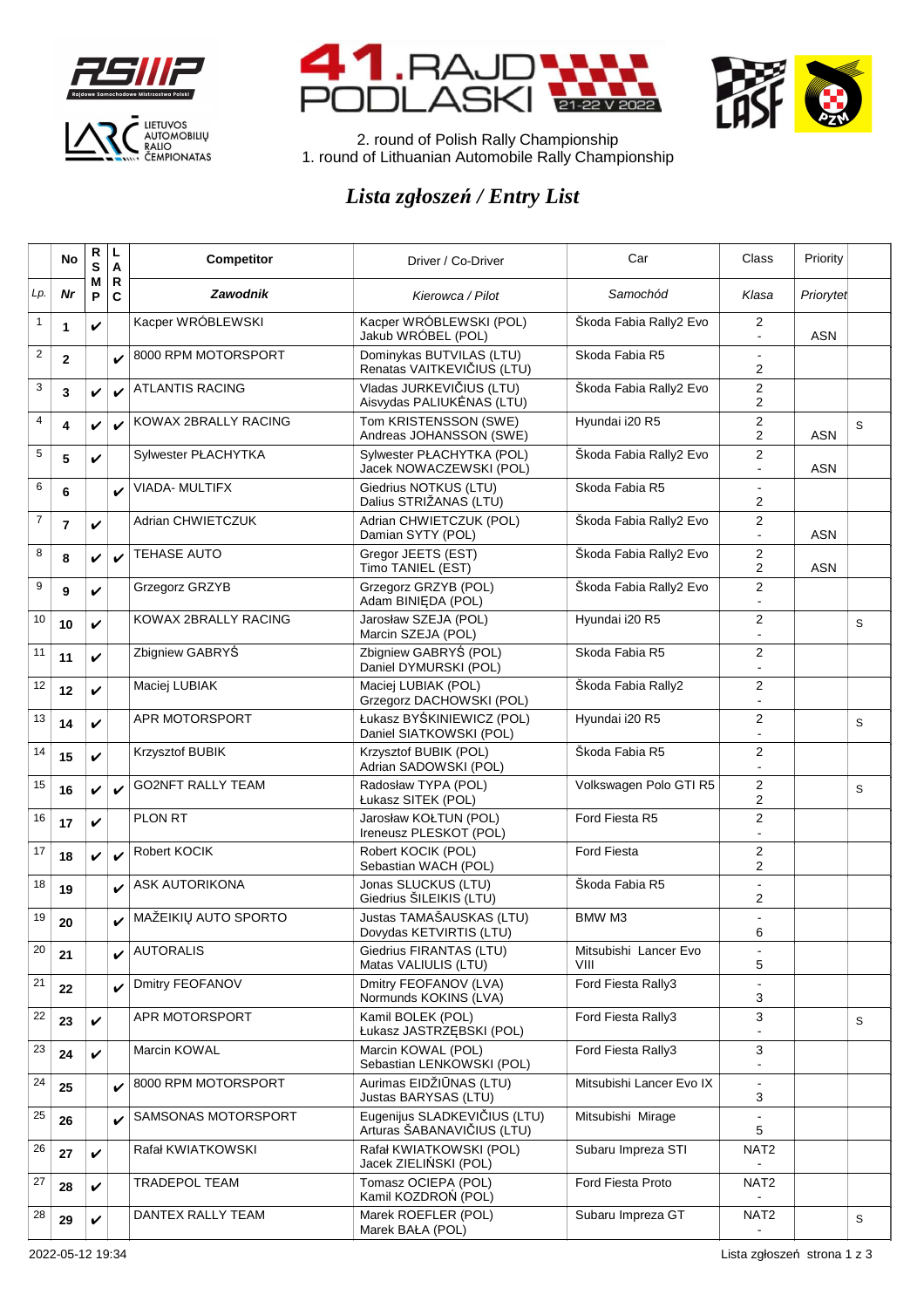





2. round of Polish Rally Championship 1. round of Lithuanian Automobile Rally Championship

## *Lista zgłoszeń / Entry List*

|                | No           | R<br>S       | L<br>A             | Competitor               | Driver / Co-Driver                                         | Car                           | Class                              | Priority   |   |
|----------------|--------------|--------------|--------------------|--------------------------|------------------------------------------------------------|-------------------------------|------------------------------------|------------|---|
| Lp.            | Nr           | М<br>P       | R<br>$\mathbf c$   | Zawodnik                 | Kierowca / Pilot                                           | Samochód                      | Klasa                              | Priorytet  |   |
| 1              | 1            | V            |                    | Kacper WRÓBLEWSKI        | Kacper WRÓBLEWSKI (POL)<br>Jakub WRÓBEL (POL)              | Škoda Fabia Rally2 Evo        | 2<br>$\mathbf{r}$                  | <b>ASN</b> |   |
| $\overline{c}$ | $\mathbf{2}$ |              | V                  | 8000 RPM MOTORSPORT      | Dominykas BUTVILAS (LTU)<br>Renatas VAITKEVIČIUS (LTU)     | Skoda Fabia R5                | $\blacksquare$<br>2                |            |   |
| 3              | 3            | V            | $\boldsymbol{\nu}$ | <b>ATLANTIS RACING</b>   | Vladas JURKEVIČIUS (LTU)<br>Aisvydas PALIUKĖNAS (LTU)      | Škoda Fabia Rally2 Evo        | 2<br>2                             |            |   |
| 4              | 4            | ✓            | $\boldsymbol{\nu}$ | KOWAX 2BRALLY RACING     | Tom KRISTENSSON (SWE)<br>Andreas JOHANSSON (SWE)           | Hyundai i20 R5                | 2<br>2                             | <b>ASN</b> | S |
| 5              | 5            | V            |                    | Sylwester PŁACHYTKA      | Sylwester PŁACHYTKA (POL)<br>Jacek NOWACZEWSKI (POL)       | Škoda Fabia Rally2 Evo        | 2<br>÷,                            | <b>ASN</b> |   |
| 6              | 6            |              | V                  | VIADA- MULTIFX           | Giedrius NOTKUS (LTU)<br>Dalius STRIŽANAS (LTU)            | Skoda Fabia R5                | 2                                  |            |   |
| 7              | 7            | V            |                    | Adrian CHWIETCZUK        | Adrian CHWIETCZUK (POL)<br>Damian SYTY (POL)               | Škoda Fabia Rally2 Evo        | 2<br>$\overline{\phantom{a}}$      | ASN        |   |
| 8              | 8            | $\checkmark$ | $\boldsymbol{\nu}$ | <b>TEHASE AUTO</b>       | Gregor JEETS (EST)<br>Timo TANIEL (EST)                    | Škoda Fabia Rally2 Evo        | 2<br>2                             | ASN        |   |
| 9              | 9            | V            |                    | Grzegorz GRZYB           | Grzegorz GRZYB (POL)<br>Adam BINIĘDA (POL)                 | Škoda Fabia Rally2 Evo        | 2                                  |            |   |
| 10             | 10           | V            |                    | KOWAX 2BRALLY RACING     | Jarosław SZEJA (POL)<br>Marcin SZEJA (POL)                 | Hyundai i20 R5                | 2                                  |            | S |
| 11             | 11           | V            |                    | Zbigniew GABRYŚ          | Zbigniew GABRYŚ (POL)<br>Daniel DYMURSKI (POL)             | Skoda Fabia R5                | 2                                  |            |   |
| 12             | 12           | V            |                    | Maciej LUBIAK            | Maciei LUBIAK (POL)<br>Grzegorz DACHOWSKI (POL)            | Škoda Fabia Rally2            | 2                                  |            |   |
| 13             | 14           | V            |                    | APR MOTORSPORT           | Łukasz BYŚKINIEWICZ (POL)<br>Daniel SIATKOWSKI (POL)       | Hyundai i20 R5                | 2                                  |            | S |
| 14             | 15           | V            |                    | Krzysztof BUBIK          | Krzysztof BUBIK (POL)<br>Adrian SADOWSKI (POL)             | Škoda Fabia R5                | 2                                  |            |   |
| 15             | 16           | V            | $\checkmark$       | <b>GO2NFT RALLY TEAM</b> | Radosław TYPA (POL)<br>Łukasz SITEK (POL)                  | Volkswagen Polo GTI R5        | 2<br>2                             |            | S |
| 16             | 17           | V            |                    | PLON RT                  | Jarosław KOŁTUN (POL)<br>Ireneusz PLESKOT (POL)            | Ford Fiesta R5                | $\overline{c}$<br>$\sim$           |            |   |
| 17             | 18           | $\checkmark$ | $\boldsymbol{\nu}$ | Robert KOCIK             | Robert KOCIK (POL)<br>Sebastian WACH (POL)                 | <b>Ford Fiesta</b>            | 2<br>2                             |            |   |
| 18             | 19           |              | V                  | <b>ASK AUTORIKONA</b>    | Jonas SLUCKUS (LTU)<br>Giedrius ŠILEIKIS (LTU)             | Škoda Fabia R5                | ÷,<br>2                            |            |   |
| 19             | 20           |              | V                  | MAŽEIKIŲ AUTO SPORTO     | Justas TAMAŠAUSKAS (LTU)<br>Dovydas KETVIRTIS (LTU)        | BMW M3                        | 6                                  |            |   |
| 20             | 21           |              | V                  | <b>AUTORALIS</b>         | Giedrius FIRANTAS (LTU)<br>Matas VALIULIS (LTU)            | Mitsubishi Lancer Evo<br>VIII | $\blacksquare$<br>5                |            |   |
| 21             | 22           |              | V                  | Dmitry FEOFANOV          | Dmitry FEOFANOV (LVA)<br>Normunds KOKINS (LVA)             | Ford Fiesta Rally3            | ÷.<br>3                            |            |   |
| 22             | 23           | V            |                    | <b>APR MOTORSPORT</b>    | Kamil BOLEK (POL)<br>Łukasz JASTRZEBSKI (POL)              | Ford Fiesta Rally3            | 3                                  |            | S |
| 23             | 24           | V            |                    | Marcin KOWAL             | Marcin KOWAL (POL)<br>Sebastian LENKOWSKI (POL)            | Ford Fiesta Rally3            | 3                                  |            |   |
| 24             | 25           |              | ✓                  | 8000 RPM MOTORSPORT      | Aurimas EIDŽIŪNAS (LTU)<br>Justas BARYSAS (LTU)            | Mitsubishi Lancer Evo IX      | $\Box$<br>3                        |            |   |
| 25             | 26           |              | V                  | SAMSONAS MOTORSPORT      | Eugenijus SLADKEVIČIUS (LTU)<br>Arturas ŠABANAVIČIUS (LTU) | Mitsubishi Mirage             | $\ddot{\phantom{a}}$<br>5          |            |   |
| 26             | 27           | V            |                    | Rafał KWIATKOWSKI        | Rafał KWIATKOWSKI (POL)<br>Jacek ZIELIŃSKI (POL)           | Subaru Impreza STI            | NAT2                               |            |   |
| 27             | 28           | V            |                    | TRADEPOL TEAM            | Tomasz OCIEPA (POL)<br>Kamil KOZDROŃ (POL)                 | Ford Fiesta Proto             | NAT2                               |            |   |
| 28             | 29           | V            |                    | DANTEX RALLY TEAM        | Marek ROEFLER (POL)<br>Marek BAŁA (POL)                    | Subaru Impreza GT             | NAT <sub>2</sub><br>$\blacksquare$ |            | S |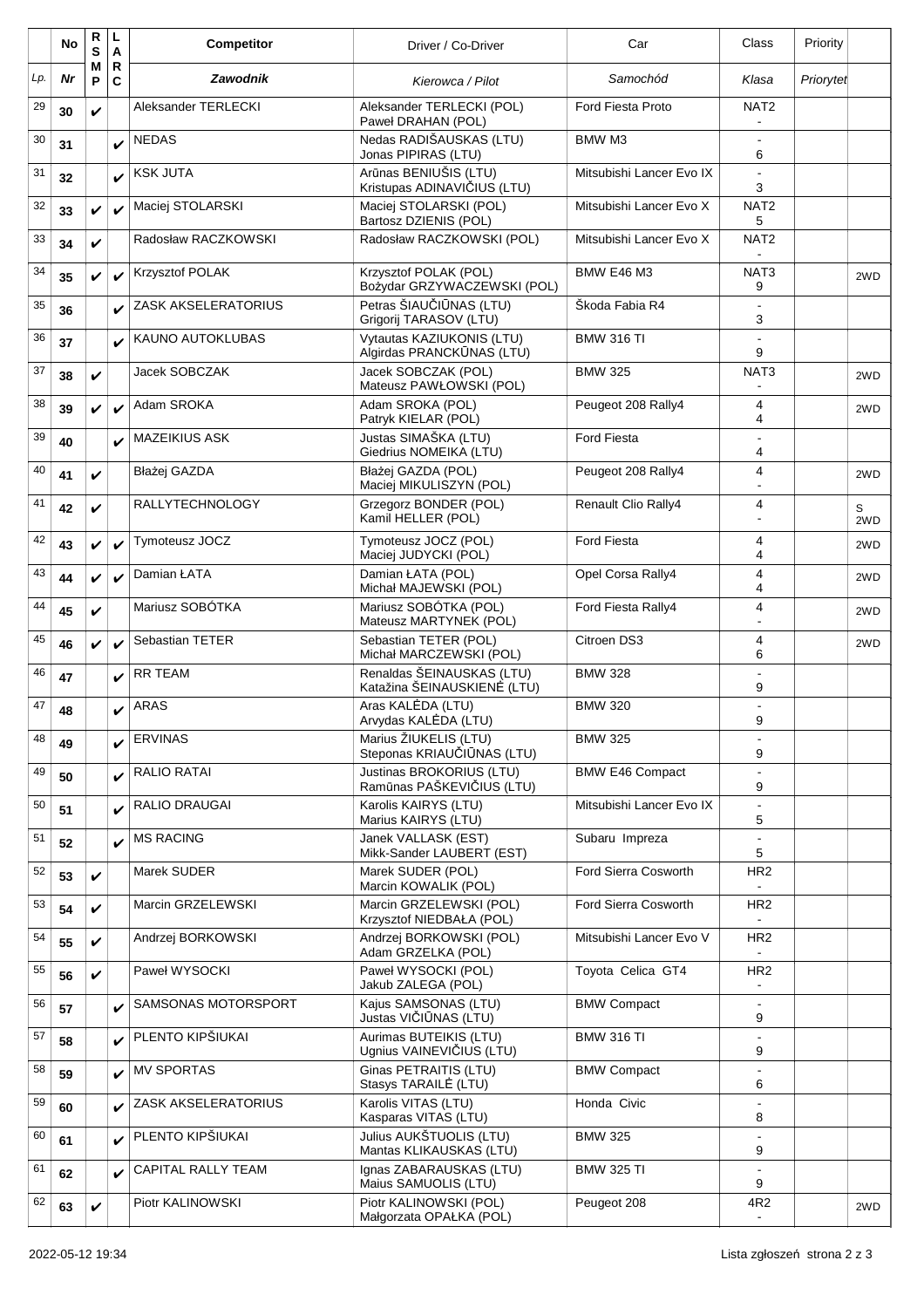|     | No | R<br>S       | L<br>A                      | <b>Competitor</b>       | Driver / Co-Driver                                       | Car                        | Class                             | Priority  |          |
|-----|----|--------------|-----------------------------|-------------------------|----------------------------------------------------------|----------------------------|-----------------------------------|-----------|----------|
| Lp. | Nr | М<br>P       | $\mathsf{R}$<br>$\mathbf c$ | <b>Zawodnik</b>         | Kierowca / Pilot                                         | Samochód                   | Klasa                             | Priorytet |          |
| 29  | 30 | V            |                             | Aleksander TERLECKI     | Aleksander TERLECKI (POL)<br>Paweł DRAHAN (POL)          | <b>Ford Fiesta Proto</b>   | NAT <sub>2</sub>                  |           |          |
| 30  | 31 |              | V                           | <b>NEDAS</b>            | Nedas RADIŠAUSKAS (LTU)<br>Jonas PIPIRAS (LTU)           | BMW M3                     | $\overline{a}$<br>6               |           |          |
| 31  | 32 |              | V                           | <b>KSK JUTA</b>         | Arūnas BENIUŠIS (LTU)<br>Kristupas ADINAVIČIUS (LTU)     | Mitsubishi Lancer Evo IX   | 3                                 |           |          |
| 32  | 33 | V            | ✓                           | Maciej STOLARSKI        | Maciej STOLARSKI (POL)<br>Bartosz DZIENIS (POL)          | Mitsubishi Lancer Evo X    | NAT <sub>2</sub><br>5             |           |          |
| 33  | 34 | V            |                             | Radosław RACZKOWSKI     | Radosław RACZKOWSKI (POL)                                | Mitsubishi Lancer Evo X    | NAT <sub>2</sub>                  |           |          |
| 34  | 35 | V            | V                           | Krzysztof POLAK         | Krzysztof POLAK (POL)<br>Bożydar GRZYWACZEWSKI (POL)     | <b>BMW E46 M3</b>          | NAT <sub>3</sub><br>9             |           | 2WD      |
| 35  | 36 |              | V                           | ZASK AKSELERATORIUS     | Petras ŠIAUČIŪNAS (LTU)<br>Grigorij TARASOV (LTU)        | Skoda Fabia R4             | $\blacksquare$<br>3               |           |          |
| 36  | 37 |              |                             | <b>KAUNO AUTOKLUBAS</b> | Vytautas KAZIUKONIS (LTU)<br>Algirdas PRANCKŪNAS (LTU)   | <b>BMW 316 TI</b>          | 9                                 |           |          |
| 37  | 38 | V            |                             | Jacek SOBCZAK           | Jacek SOBCZAK (POL)<br>Mateusz PAWŁOWSKI (POL)           | <b>BMW 325</b>             | NAT3                              |           | 2WD      |
| 38  | 39 | $\checkmark$ | V                           | Adam SROKA              | Adam SROKA (POL)<br>Patryk KIELAR (POL)                  | Peugeot 208 Rally4         | 4<br>4                            |           | 2WD      |
| 39  | 40 |              | V                           | <b>MAZEIKIUS ASK</b>    | Justas SIMAŠKA (LTU)<br>Giedrius NOMEIKA (LTU)           | <b>Ford Fiesta</b>         | 4                                 |           |          |
| 40  | 41 | V            |                             | Błażej GAZDA            | Błażei GAZDA (POL)<br>Maciej MIKULISZYN (POL)            | Peugeot 208 Rally4         | 4                                 |           | 2WD      |
| 41  | 42 | V            |                             | <b>RALLYTECHNOLOGY</b>  | Grzegorz BONDER (POL)<br>Kamil HELLER (POL)              | <b>Renault Clio Rally4</b> | 4                                 |           | S<br>2WD |
| 42  | 43 | V            | ✓                           | Tymoteusz JOCZ          | Tymoteusz JOCZ (POL)<br>Maciej JUDYCKI (POL)             | <b>Ford Fiesta</b>         | 4<br>4                            |           | 2WD      |
| 43  | 44 | V            | V                           | Damian ŁATA             | Damian ŁATA (POL)<br>Michał MAJEWSKI (POL)               | Opel Corsa Rally4          | 4<br>4                            |           | 2WD      |
| 44  | 45 | ✓            |                             | Mariusz SOBÓTKA         | Mariusz SOBÓTKA (POL)<br>Mateusz MARTYNEK (POL)          | Ford Fiesta Rally4         | 4<br>$\blacksquare$               |           | 2WD      |
| 45  | 46 | $\checkmark$ | $\checkmark$                | Sebastian TETER         | Sebastian TETER (POL)<br>Michał MARCZEWSKI (POL)         | Citroen DS3                | 4<br>6                            |           | 2WD      |
| 46  | 47 |              |                             | <b>RR TEAM</b>          | Renaldas ŠEINAUSKAS (LTU)<br>Katažina ŠEINAUSKIENĖ (LTU) | <b>BMW 328</b>             | 9                                 |           |          |
| 47  | 48 |              | ✓                           | ARAS                    | Aras KALEDA (LTU)<br>Arvydas KALĖDA (LTU)                | <b>BMW 320</b>             | 9                                 |           |          |
| 48  | 49 |              | V                           | <b>ERVINAS</b>          | Marius ŽIUKELIS (LTU)<br>Steponas KRIAUČIŪNAS (LTU)      | <b>BMW 325</b>             | 9                                 |           |          |
| 49  | 50 |              | V                           | RALIO RATAI             | Justinas BROKORIUS (LTU)<br>Ramūnas PAŠKEVIČIUS (LTU)    | <b>BMW E46 Compact</b>     | 9                                 |           |          |
| 50  | 51 |              | V                           | RALIO DRAUGAI           | Karolis KAIRYS (LTU)<br>Marius KAIRYS (LTU)              | Mitsubishi Lancer Evo IX   | 5                                 |           |          |
| 51  | 52 |              | V                           | <b>MS RACING</b>        | Janek VALLASK (EST)<br>Mikk-Sander LAUBERT (EST)         | Subaru Impreza             | 5                                 |           |          |
| 52  | 53 | V            |                             | Marek SUDER             | Marek SUDER (POL)<br>Marcin KOWALIK (POL)                | Ford Sierra Cosworth       | HR <sub>2</sub>                   |           |          |
| 53  | 54 | V            |                             | Marcin GRZELEWSKI       | Marcin GRZELEWSKI (POL)<br>Krzysztof NIEDBAŁA (POL)      | Ford Sierra Cosworth       | HR <sub>2</sub>                   |           |          |
| 54  | 55 | V            |                             | Andrzej BORKOWSKI       | Andrzej BORKOWSKI (POL)<br>Adam GRZELKA (POL)            | Mitsubishi Lancer Evo V    | HR <sub>2</sub>                   |           |          |
| 55  | 56 | $\checkmark$ |                             | Paweł WYSOCKI           | Paweł WYSOCKI (POL)<br>Jakub ZALEGA (POL)                | Toyota Celica GT4          | HR <sub>2</sub><br>$\blacksquare$ |           |          |
| 56  | 57 |              | V                           | SAMSONAS MOTORSPORT     | Kajus SAMSONAS (LTU)<br>Justas VIČIŪNAS (LTU)            | <b>BMW Compact</b>         | $\overline{\phantom{a}}$<br>9     |           |          |
| 57  | 58 |              | $\mathbf v$                 | PLENTO KIPŠIUKAI        | Aurimas BUTEIKIS (LTU)<br>Ugnius VAINEVIČIUS (LTU)       | <b>BMW 316 TI</b>          | 9                                 |           |          |
| 58  | 59 |              | V                           | <b>MV SPORTAS</b>       | Ginas PETRAITIS (LTU)<br>Stasys TARAILE (LTU)            | <b>BMW Compact</b>         | 6                                 |           |          |
| 59  | 60 |              | V                           | ZASK AKSELERATORIUS     | Karolis VITAS (LTU)<br>Kasparas VITAS (LTU)              | Honda Civic                | 8                                 |           |          |
| 60  | 61 |              | V                           | PLENTO KIPŠIUKAI        | Julius AUKŠTUOLIS (LTU)<br>Mantas KLIKAUSKAS (LTU)       | <b>BMW 325</b>             | 9                                 |           |          |
| 61  | 62 |              | V                           | CAPITAL RALLY TEAM      | Ignas ZABARAUSKAS (LTU)<br>Maius SAMUOLIS (LTU)          | <b>BMW 325 TI</b>          | $\overline{a}$<br>9               |           |          |
| 62  | 63 | V            |                             | Piotr KALINOWSKI        | Piotr KALINOWSKI (POL)<br>Małgorzata OPAŁKA (POL)        | Peugeot 208                | 4R2<br>$\blacksquare$             |           | 2WD      |